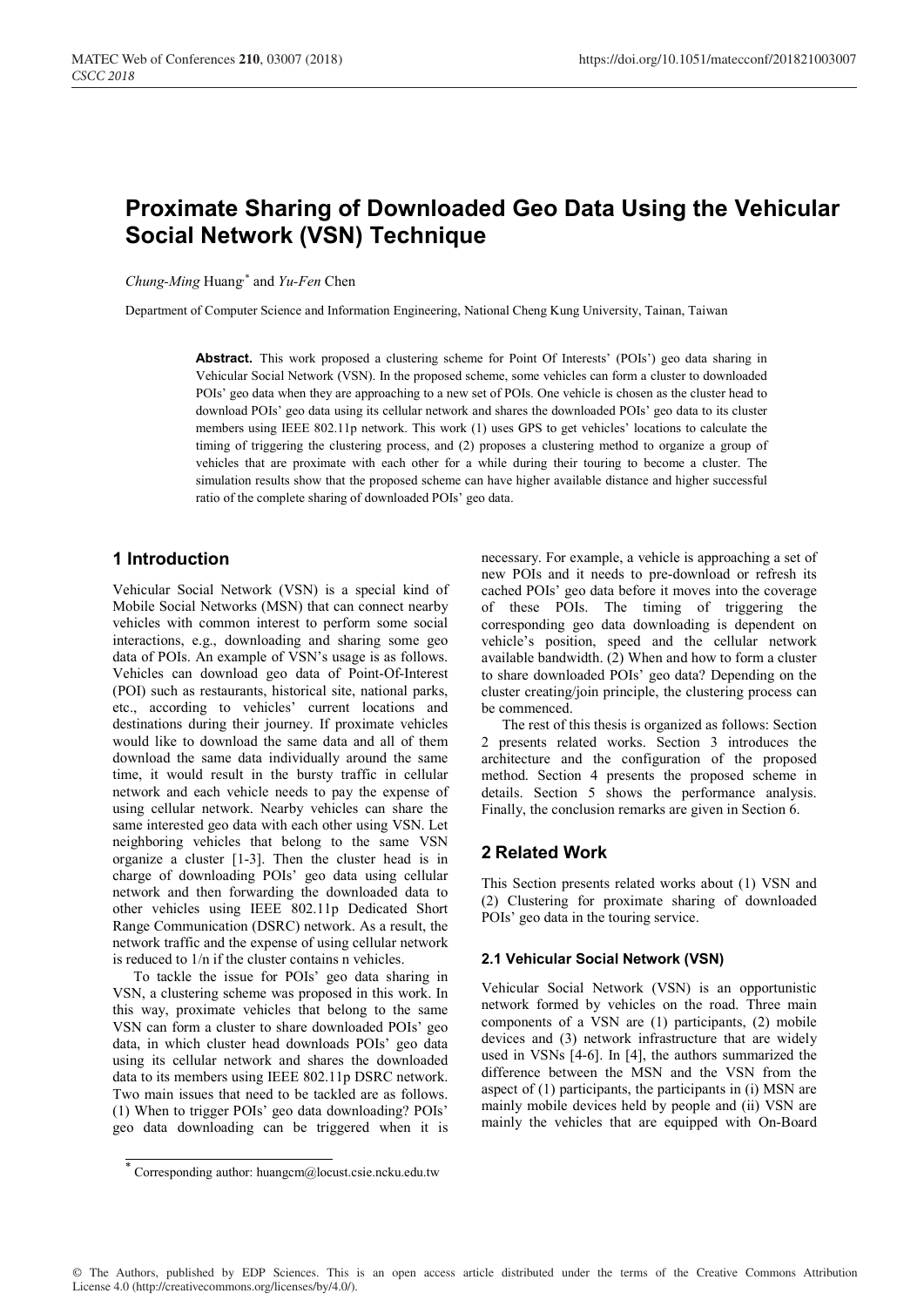# **Proximate Sharing of Downloaded Geo Data Using the Vehicular Social Network (VSN) Technique**

*Chung-Ming* Huang,\* and *Yu-Fen* Chen

Department of Computer Science and Information Engineering, National Cheng Kung University, Tainan, Taiwan

Abstract. This work proposed a clustering scheme for Point Of Interests' (POIs') geo data sharing in Vehicular Social Network (VSN). In the proposed scheme, some vehicles can form a cluster to downloaded POIs' geo data when they are approaching to a new set of POIs. One vehicle is chosen as the cluster head to download POIs' geo data using its cellular network and shares the downloaded POIs' geo data to its cluster members using IEEE 802.11p network. This work (1) uses GPS to get vehicles' locations to calculate the timing of triggering the clustering process, and (2) proposes a clustering method to organize a group of vehicles that are proximate with each other for a while during their touring to become a cluster. The simulation results show that the proposed scheme can have higher available distance and higher successful ratio of the complete sharing of downloaded POIs' geo data.

# **1 Introduction**

Vehicular Social Network (VSN) is a special kind of Mobile Social Networks (MSN) that can connect nearby vehicles with common interest to perform some social interactions, e.g., downloading and sharing some geo data of POIs. An example of VSN's usage is as follows. Vehicles can download geo data of Point-Of-Interest (POI) such as restaurants, historical site, national parks, etc., according to vehicles' current locations and destinations during their journey. If proximate vehicles would like to download the same data and all of them download the same data individually around the same time, it would result in the bursty traffic in cellular network and each vehicle needs to pay the expense of using cellular network. Nearby vehicles can share the same interested geo data with each other using VSN. Let neighboring vehicles that belong to the same VSN organize a cluster [1-3]. Then the cluster head is in charge of downloading POIs' geo data using cellular network and then forwarding the downloaded data to other vehicles using IEEE 802.11p Dedicated Short Range Communication (DSRC) network. As a result, the network traffic and the expense of using cellular network is reduced to 1/n if the cluster contains n vehicles.

To tackle the issue for POIs' geo data sharing in VSN, a clustering scheme was proposed in this work. In this way, proximate vehicles that belong to the same VSN can form a cluster to share downloaded POIs' geo data, in which cluster head downloads POIs' geo data using its cellular network and shares the downloaded data to its members using IEEE 802.11p DSRC network. Two main issues that need to be tackled are as follows. (1) When to trigger POIs' geo data downloading? POIs' geo data downloading can be triggered when it is necessary. For example, a vehicle is approaching a set of new POIs and it needs to pre-download or refresh its cached POIs' geo data before it moves into the coverage of these POIs. The timing of triggering the corresponding geo data downloading is dependent on vehicle's position, speed and the cellular network available bandwidth.  $(2)$  When and how to form a cluster to share downloaded POIs' geo data? Depending on the cluster creating/join principle, the clustering process can be commenced.

The rest of this thesis is organized as follows: Section 2 presents related works. Section 3 introduces the architecture and the configuration of the proposed method. Section 4 presents the proposed scheme in details. Section 5 shows the performance analysis. Finally, the conclusion remarks are given in Section 6.

## **2 Related Work**

This Section presents related works about (1) VSN and (2) Clustering for proximate sharing of downloaded POIs' geo data in the touring service.

### **2.1 Vehicular Social Network (VSN)**

Vehicular Social Network (VSN) is an opportunistic network formed by vehicles on the road. Three main components of a VSN are (1) participants, (2) mobile devices and (3) network infrastructure that are widely used in VSNs [4-6]. In [4], the authors summarized the difference between the MSN and the VSN from the aspect of (1) participants, the participants in (i) MSN are mainly mobile devices held by people and (ii) VSN are mainly the vehicles that are equipped with On-Board

© The Authors, published by EDP Sciences. This is an open access article distributed under the terms of the Creative Commons Attribution License 4.0 (http://creativecommons.org/licenses/by/4.0/).

<sup>\*</sup> Corresponding author: huangcm@locust.csie.ncku.edu.tw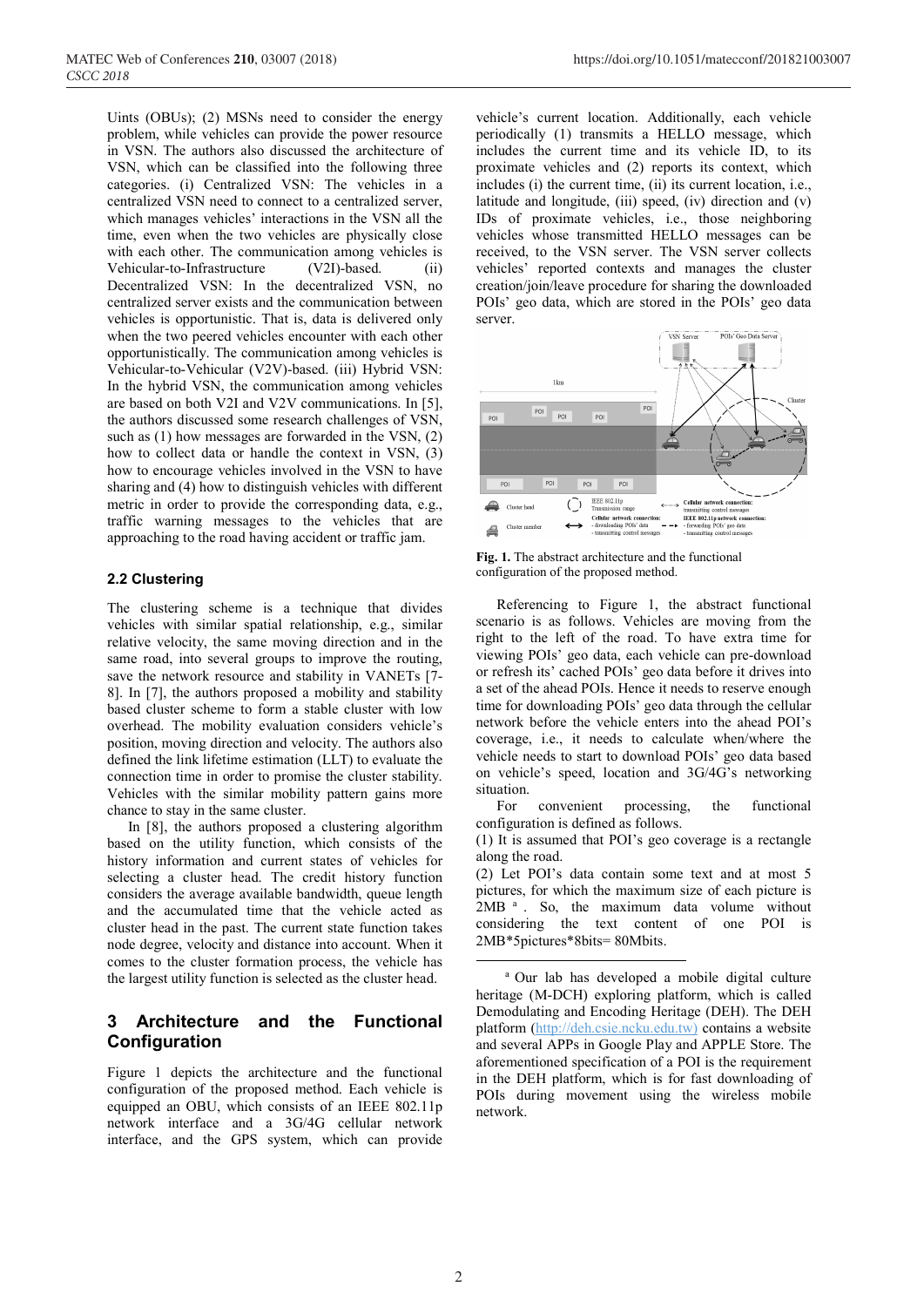Uints (OBUs); (2) MSNs need to consider the energy problem, while vehicles can provide the power resource in VSN. The authors also discussed the architecture of VSN, which can be classified into the following three categories. (i) Centralized VSN: The vehicles in a centralized VSN need to connect to a centralized server, which manages vehicles' interactions in the VSN all the time, even when the two vehicles are physically close with each other. The communication among vehicles is Vehicular-to-Infrastructure (V2I)-based. (ii) Decentralized VSN: In the decentralized VSN, no centralized server exists and the communication between vehicles is opportunistic. That is, data is delivered only when the two peered vehicles encounter with each other opportunistically. The communication among vehicles is Vehicular-to-Vehicular (V2V)-based. (iii) Hybrid VSN: In the hybrid VSN, the communication among vehicles are based on both V2I and V2V communications. In [5], the authors discussed some research challenges of VSN, such as (1) how messages are forwarded in the VSN, (2) how to collect data or handle the context in VSN, (3) how to encourage vehicles involved in the VSN to have sharing and (4) how to distinguish vehicles with different metric in order to provide the corresponding data, e.g., traffic warning messages to the vehicles that are approaching to the road having accident or traffic jam.

### **2.2 Clustering**

The clustering scheme is a technique that divides vehicles with similar spatial relationship, e.g., similar relative velocity, the same moving direction and in the same road, into several groups to improve the routing, save the network resource and stability in VANETs [7-8]. In [7], the authors proposed a mobility and stability based cluster scheme to form a stable cluster with low overhead. The mobility evaluation considers vehicle's position, moving direction and velocity. The authors also defined the link lifetime estimation (LLT) to evaluate the connection time in order to promise the cluster stability. Vehicles with the similar mobility pattern gains more chance to stay in the same cluster.

In [8], the authors proposed a clustering algorithm based on the utility function, which consists of the history information and current states of vehicles for selecting a cluster head. The credit history function considers the average available bandwidth, queue length and the accumulated time that the vehicle acted as cluster head in the past. The current state function takes node degree, velocity and distance into account. When it comes to the cluster formation process, the vehicle has the largest utility function is selected as the cluster head.

# **3 Architecture and the Functional Configuration**

Figure 1 depicts the architecture and the functional configuration of the proposed method. Each vehicle is equipped an OBU, which consists of an IEEE 802.11p network interface and a 3G/4G cellular network interface, and the GPS system, which can provide

vehicle's current location. Additionally, each vehicle periodically (1) transmits a HELLO message, which includes the current time and its vehicle ID, to its proximate vehicles and (2) reports its context, which includes (i) the current time, (ii) its current location, i.e., latitude and longitude, (iii) speed, (iv) direction and (v) IDs of proximate vehicles, i.e., those neighboring vehicles whose transmitted HELLO messages can be received, to the VSN server. The VSN server collects vehicles' reported contexts and manages the cluster creation/join/leave procedure for sharing the downloaded POIs' geo data, which are stored in the POIs' geo data server.



**Fig. 1.** The abstract architecture and the functional configuration of the proposed method.

Referencing to Figure 1, the abstract functional scenario is as follows. Vehicles are moving from the right to the left of the road. To have extra time for viewing POIs' geo data, each vehicle can pre-download or refresh its' cached POIs' geo data before it drives into a set of the ahead POIs. Hence it needs to reserve enough time for downloading POIs' geo data through the cellular network before the vehicle enters into the ahead POI's coverage, i.e., it needs to calculate when/where the vehicle needs to start to download POIs' geo data based on vehicle's speed, location and 3G/4G's networking situation.

For convenient processing, the functional configuration is defined as follows.

(2) Let POI's data contain some text and at most 5 pictures, for which the maximum size of each picture is 2MB <sup>a</sup> . So, the maximum data volume without considering the text content of one POI is 2MB\*5pictures\*8bits= 80Mbits.

<sup>(1)</sup> It is assumed that POI's geo coverage is a rectangle along the road.

a Our lab has developed a mobile digital culture heritage (M-DCH) exploring platform, which is called Demodulating and Encoding Heritage (DEH). The DEH platform (http://deh.csie.ncku.edu.tw) contains a website and several APPs in Google Play and APPLE Store. The aforementioned specification of a POI is the requirement in the DEH platform, which is for fast downloading of POIs during movement using the wireless mobile network.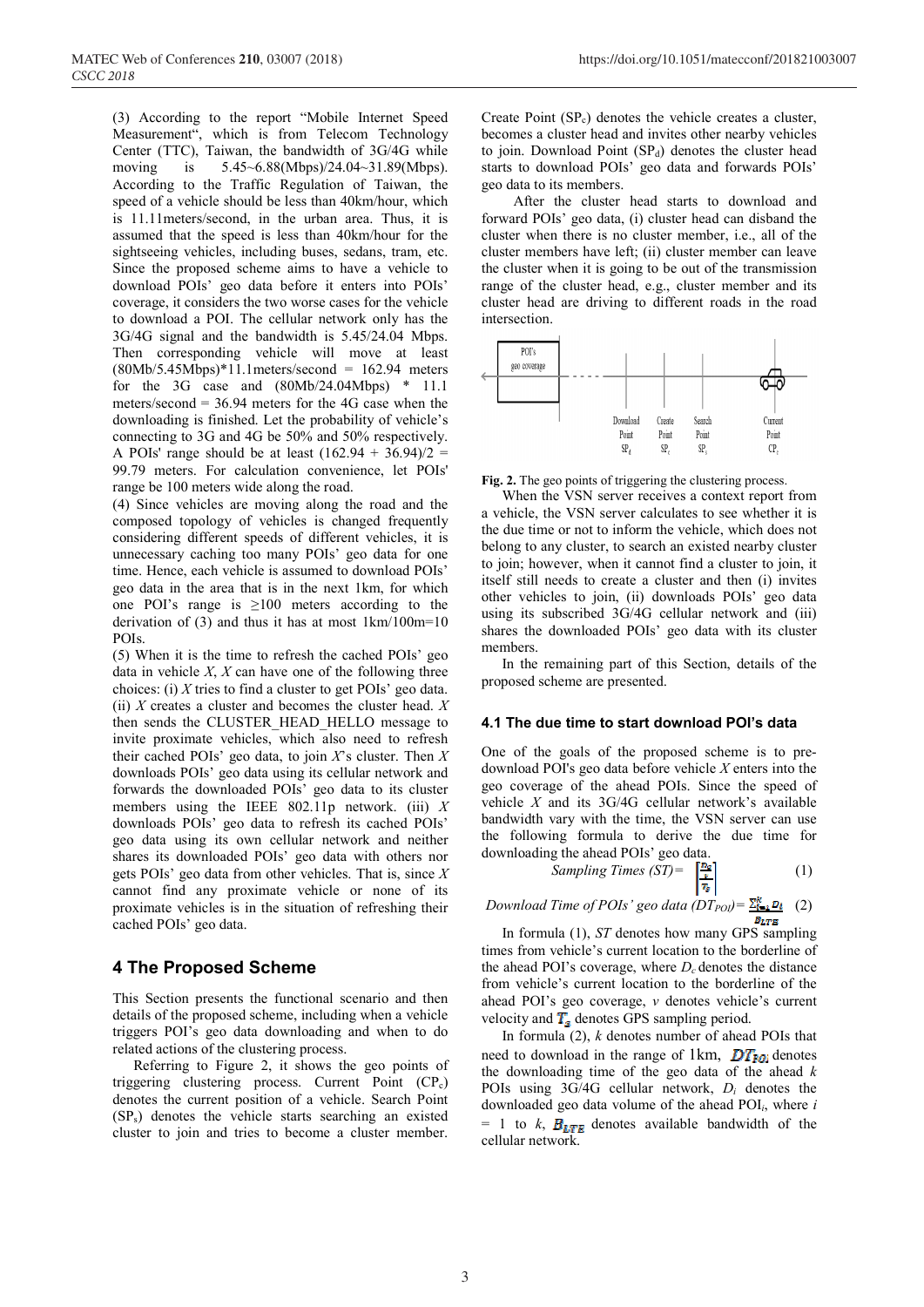(3) According to the report "Mobile Internet Speed Measurement", which is from Telecom Technology Center (TTC), Taiwan, the bandwidth of 3G/4G while moving is 5.45~6.88(Mbps)/24.04~31.89(Mbps). According to the Traffic Regulation of Taiwan, the speed of a vehicle should be less than 40km/hour, which is 11.11meters/second, in the urban area. Thus, it is assumed that the speed is less than 40km/hour for the sightseeing vehicles, including buses, sedans, tram, etc. Since the proposed scheme aims to have a vehicle to download POIs' geo data before it enters into POIs' coverage, it considers the two worse cases for the vehicle to download a POI. The cellular network only has the 3G/4G signal and the bandwidth is 5.45/24.04 Mbps. Then corresponding vehicle will move at least  $(80Mb/5.45Mbps)*11.1meters/second = 162.94 meters$ for the 3G case and (80Mb/24.04Mbps) \* 11.1 meters/second = 36.94 meters for the 4G case when the downloading is finished. Let the probability of vehicle's connecting to 3G and 4G be 50% and 50% respectively. A POIs' range should be at least  $(162.94 + 36.94)/2 =$ 99.79 meters. For calculation convenience, let POIs' range be 100 meters wide along the road.

(4) Since vehicles are moving along the road and the composed topology of vehicles is changed frequently considering different speeds of different vehicles, it is unnecessary caching too many POIs' geo data for one time. Hence, each vehicle is assumed to download POIs' geo data in the area that is in the next 1km, for which one POI's range is  $\geq 100$  meters according to the derivation of (3) and thus it has at most 1km/100m=10 POIs.

(5) When it is the time to refresh the cached POIs' geo data in vehicle *X*, *X* can have one of the following three choices: (i) *X* tries to find a cluster to get POIs' geo data. (ii) *X* creates a cluster and becomes the cluster head. *X* then sends the CLUSTER\_HEAD\_HELLO message to invite proximate vehicles, which also need to refresh their cached POIs' geo data, to join *X*'s cluster. Then *X* downloads POIs' geo data using its cellular network and forwards the downloaded POIs' geo data to its cluster members using the IEEE 802.11p network. (iii) *X* downloads POIs' geo data to refresh its cached POIs' geo data using its own cellular network and neither shares its downloaded POIs' geo data with others nor gets POIs' geo data from other vehicles. That is, since *X* cannot find any proximate vehicle or none of its proximate vehicles is in the situation of refreshing their cached POIs' geo data.

## **4 The Proposed Scheme**

This Section presents the functional scenario and then details of the proposed scheme, including when a vehicle triggers POI's geo data downloading and when to do related actions of the clustering process.

Referring to Figure 2, it shows the geo points of triggering clustering process. Current Point (CP<sub>c</sub>) denotes the current position of a vehicle. Search Point (SPs) denotes the vehicle starts searching an existed cluster to join and tries to become a cluster member.

Create Point  $(SP_c)$  denotes the vehicle creates a cluster, becomes a cluster head and invites other nearby vehicles to join. Download Point  $(SP_d)$  denotes the cluster head starts to download POIs' geo data and forwards POIs' geo data to its members.

After the cluster head starts to download and forward POIs' geo data, (i) cluster head can disband the cluster when there is no cluster member, i.e., all of the cluster members have left; (ii) cluster member can leave the cluster when it is going to be out of the transmission range of the cluster head, e.g., cluster member and its cluster head are driving to different roads in the road intersection.



**Fig. 2.** The geo points of triggering the clustering process.

When the VSN server receives a context report from a vehicle, the VSN server calculates to see whether it is the due time or not to inform the vehicle, which does not belong to any cluster, to search an existed nearby cluster to join; however, when it cannot find a cluster to join, it itself still needs to create a cluster and then (i) invites other vehicles to join, (ii) downloads POIs' geo data using its subscribed 3G/4G cellular network and (iii) shares the downloaded POIs' geo data with its cluster members.

In the remaining part of this Section, details of the proposed scheme are presented.

#### **4.1 The due time to start download POI's data**

One of the goals of the proposed scheme is to predownload POI's geo data before vehicle *X* enters into the geo coverage of the ahead POIs. Since the speed of vehicle *X* and its 3G/4G cellular network's available bandwidth vary with the time, the VSN server can use the following formula to derive the due time for downloading the ahead POIs' geo data.

Sampling Times (ST) = 
$$
\frac{r_{\text{Bc}}}{r_{\text{s}}}
$$
 (1)

*Download Time of POIs' geo data*  $(DT_{POI}) = \frac{\sum_{i=1}^{k} D_i}{2}$  (2)  $B_{LTE}$ 

In formula (1), *ST* denotes how many GPS sampling times from vehicle's current location to the borderline of the ahead POI's coverage, where  $D_c$  denotes the distance from vehicle's current location to the borderline of the ahead POI's geo coverage, *v* denotes vehicle's current velocity and  $T_s$  denotes GPS sampling period.

In formula (2), *k* denotes number of ahead POIs that need to download in the range of 1km,  $DT_{FQi}$  denotes the downloading time of the geo data of the ahead *k* POIs using 3G/4G cellular network, *Di* denotes the downloaded geo data volume of the ahead POI*i*, where *i*   $= 1$  to *k*,  $B_{LTE}$  denotes available bandwidth of the cellular network.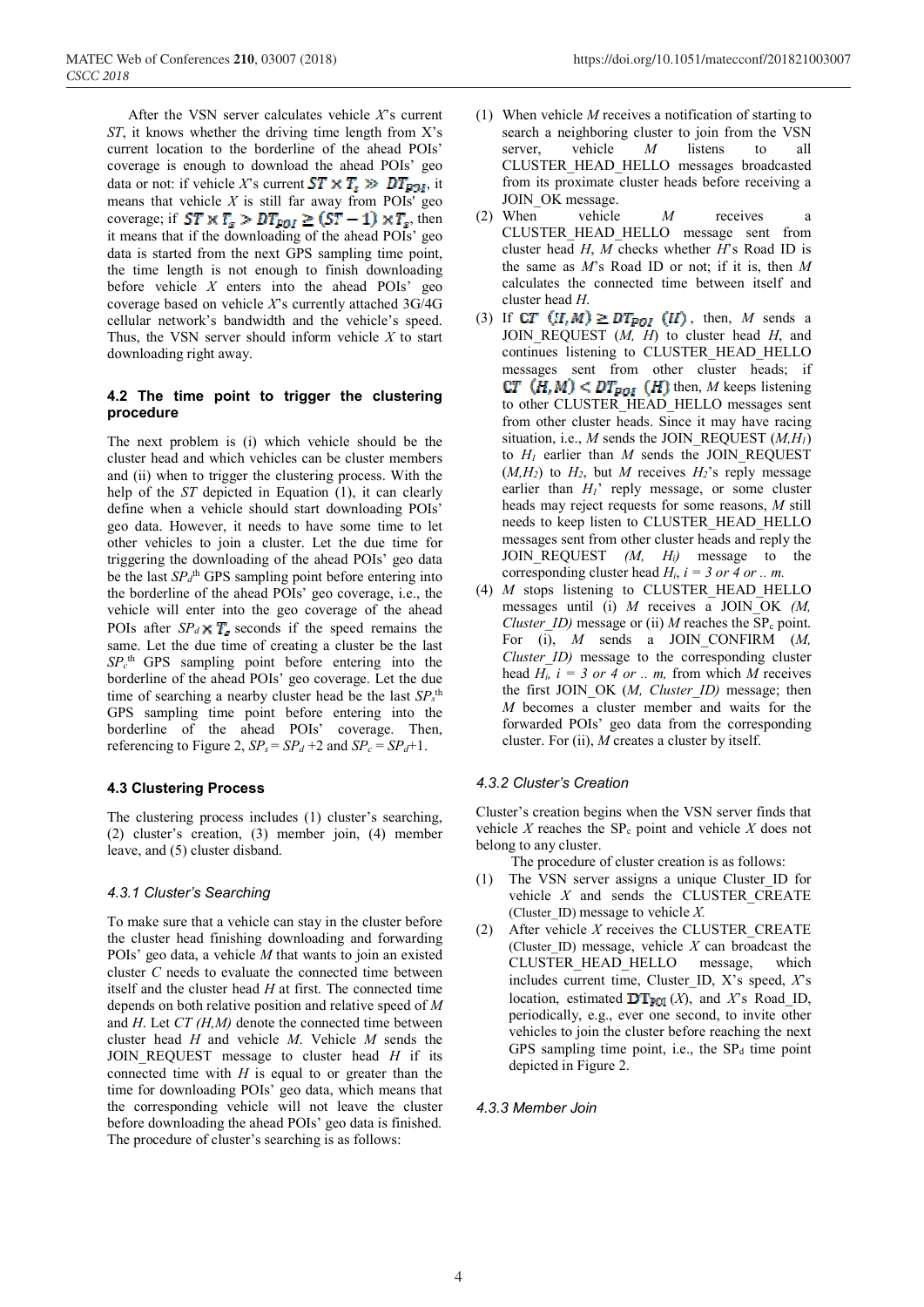After the VSN server calculates vehicle *X*'s current *ST*, it knows whether the driving time length from X's current location to the borderline of the ahead POIs' coverage is enough to download the ahead POIs' geo data or not: if vehicle X's current  $ST \times T_s \gg DT_{PQI}$ , it means that vehicle  $X$  is still far away from POIs' geo coverage; if  $ST \times T_s > DT_{FOL} \ge (ST-1) \times T_s$ , then it means that if the downloading of the ahead POIs' geo data is started from the next GPS sampling time point, the time length is not enough to finish downloading before vehicle *X* enters into the ahead POIs' geo coverage based on vehicle *X*'s currently attached 3G/4G cellular network's bandwidth and the vehicle's speed. Thus, the VSN server should inform vehicle *X* to start downloading right away.

#### **4.2 The time point to trigger the clustering procedure**

The next problem is (i) which vehicle should be the cluster head and which vehicles can be cluster members and (ii) when to trigger the clustering process. With the help of the *ST* depicted in Equation (1), it can clearly define when a vehicle should start downloading POIs' geo data. However, it needs to have some time to let other vehicles to join a cluster. Let the due time for triggering the downloading of the ahead POIs' geo data be the last  $SP_d$ <sup>th</sup> GPS sampling point before entering into the borderline of the ahead POIs' geo coverage, i.e., the vehicle will enter into the geo coverage of the ahead POIs after  $SP_d \times T_s$  seconds if the speed remains the same. Let the due time of creating a cluster be the last *SPc* th GPS sampling point before entering into the borderline of the ahead POIs' geo coverage. Let the due time of searching a nearby cluster head be the last  $SP_s$ <sup>th</sup> GPS sampling time point before entering into the borderline of the ahead POIs' coverage. Then, referencing to Figure 2,  $SP_s = SP_d + 2$  and  $SP_c = SP_d + 1$ .

### **4.3 Clustering Process**

The clustering process includes (1) cluster's searching, (2) cluster's creation, (3) member join, (4) member leave, and (5) cluster disband.

#### *4.3.1 Cluster's Searching*

To make sure that a vehicle can stay in the cluster before the cluster head finishing downloading and forwarding POIs' geo data, a vehicle *M* that wants to join an existed cluster *C* needs to evaluate the connected time between itself and the cluster head *H* at first. The connected time depends on both relative position and relative speed of *M* and *H*. Let *CT (H,M)* denote the connected time between cluster head *H* and vehicle *M*. Vehicle *M* sends the JOIN REQUEST message to cluster head *H* if its connected time with  $H$  is equal to or greater than the time for downloading POIs' geo data, which means that the corresponding vehicle will not leave the cluster before downloading the ahead POIs' geo data is finished. The procedure of cluster's searching is as follows:

- (1) When vehicle *M* receives a notification of starting to search a neighboring cluster to join from the VSN server, vehicle *M* listens to all CLUSTER\_HEAD\_HELLO messages broadcasted from its proximate cluster heads before receiving a JOIN OK message.
- (2) When vehicle *M* receives a CLUSTER\_HEAD\_HELLO message sent from cluster head *H*, *M* checks whether *H*'s Road ID is the same as *M*'s Road ID or not; if it is, then *M* calculates the connected time between itself and cluster head *H*.
- (3) If  $CT \ (II, M) \ge DT_{POL} \ (II)$ , then, *M* sends a JOIN\_REQUEST (*M, H*) to cluster head *H*, and continues listening to CLUSTER\_HEAD\_HELLO messages sent from other cluster heads; if  $CT$   $(H, M)$  <  $DT_{POI}$   $(H)$  then, *M* keeps listening to other CLUSTER\_HEAD\_HELLO messages sent from other cluster heads. Since it may have racing situation, i.e., *M* sends the JOIN REQUEST  $(M,H_1)$ to  $H_1$  earlier than  $M$  sends the JOIN REQUEST  $(M,H_2)$  to  $H_2$ , but *M* receives  $H_2$ 's reply message earlier than  $H_1$ <sup>'</sup> reply message, or some cluster heads may reject requests for some reasons, *M* still needs to keep listen to CLUSTER\_HEAD\_HELLO messages sent from other cluster heads and reply the JOIN REQUEST *(M, H<sub>i</sub>)* message to the corresponding cluster head  $H_i$ ,  $i = 3$  or  $4$  or ... m.
- (4) *M* stops listening to CLUSTER\_HEAD\_HELLO messages until (i) *M* receives a JOIN\_OK *(M, Cluster ID)* message or (ii) *M* reaches the  $\overline{SP}_c$  point. For (i), *M* sends a JOIN CONFIRM (*M*, *Cluster ID)* message to the corresponding cluster head  $H_i$ ,  $i = 3$  or 4 or .. m, from which M receives the first JOIN\_OK (*M, Cluster\_ID)* message; then *M* becomes a cluster member and waits for the forwarded POIs' geo data from the corresponding cluster. For (ii), *M* creates a cluster by itself.

### *4.3.2 Cluster's Creation*

Cluster's creation begins when the VSN server finds that vehicle  $X$  reaches the  $SP<sub>c</sub>$  point and vehicle  $X$  does not belong to any cluster.

The procedure of cluster creation is as follows:

- (1) The VSN server assigns a unique Cluster\_ID for vehicle *X* and sends the CLUSTER\_CREATE (Cluster\_ID) message to vehicle *X.*
- (2) After vehicle *X* receives the CLUSTER\_CREATE (Cluster ID) message, vehicle  $X$  can broadcast the CLUSTER HEAD HELLO message, which includes current time, Cluster\_ID, X's speed, *X*'s location, estimated  $DT_{POI}(X)$ , and *X*'s Road<sub>\_ID</sub>, periodically, e.g., ever one second, to invite other vehicles to join the cluster before reaching the next GPS sampling time point, i.e., the  $SP<sub>d</sub>$  time point depicted in Figure 2.

#### *4.3.3 Member Join*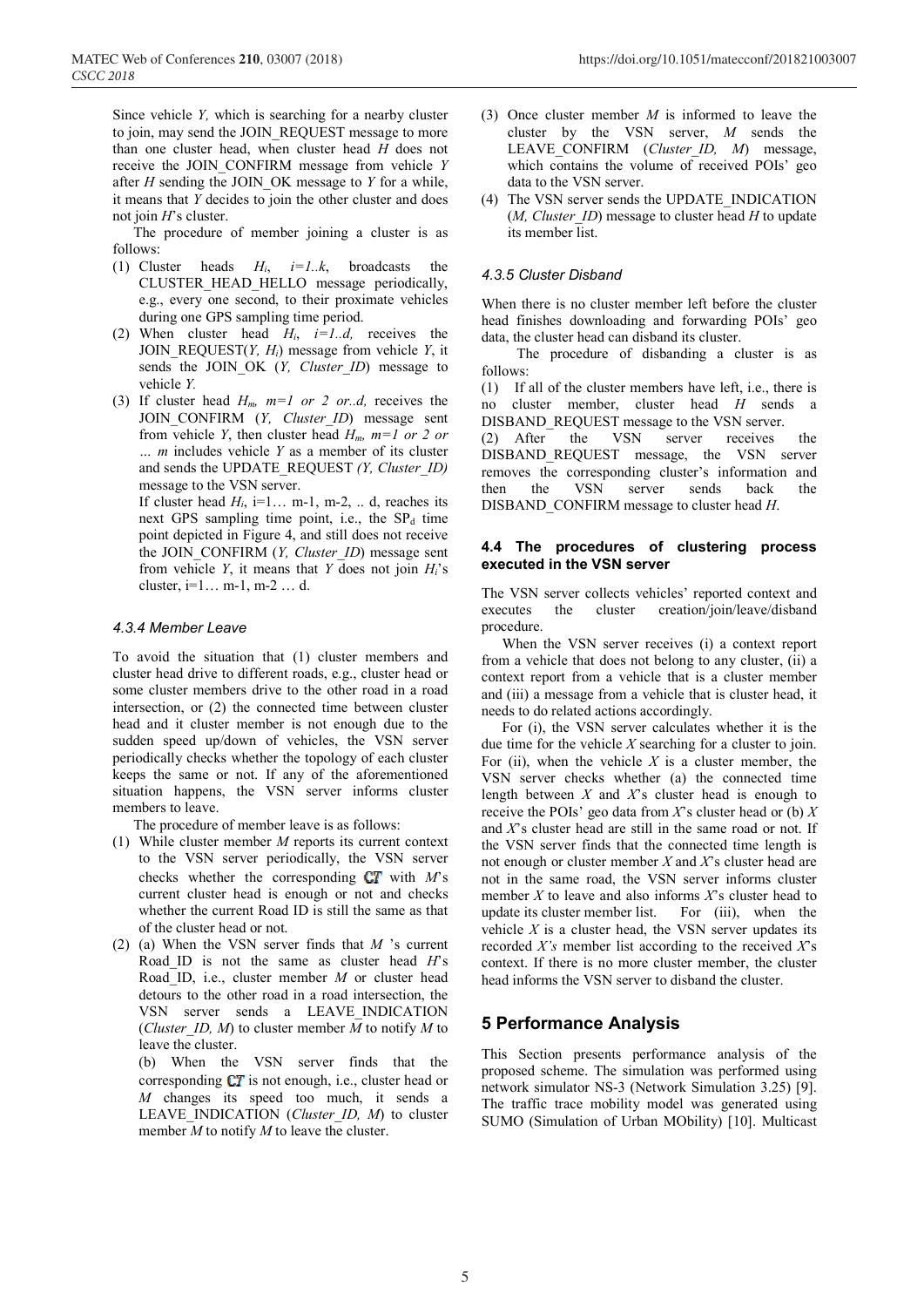Since vehicle *Y,* which is searching for a nearby cluster to join, may send the JOIN\_REQUEST message to more than one cluster head, when cluster head *H* does not receive the JOIN\_CONFIRM message from vehicle *Y*  after *H* sending the JOIN\_OK message to *Y* for a while, it means that *Y* decides to join the other cluster and does not join *H*'s cluster.

The procedure of member joining a cluster is as follows:

- (1) Cluster heads *Hi*, *i=1..k*, broadcasts the CLUSTER\_HEAD\_HELLO message periodically, e.g., every one second, to their proximate vehicles during one GPS sampling time period.
- (2) When cluster head  $H_i$ ,  $i=1...d$ , receives the JOIN REQUEST $(Y, H_i)$  message from vehicle *Y*, it sends the JOIN OK (*Y, Cluster ID*) message to vehicle *Y.*
- (3) If cluster head *Hm, m=1 or 2 or..d,* receives the JOIN CONFIRM (*Y, Cluster ID*) message sent from vehicle *Y*, then cluster head  $H_m$ ,  $m=1$  or 2 or *… m* includes vehicle *Y* as a member of its cluster and sends the UPDATE\_REQUEST *(Y, Cluster\_ID)* message to the VSN server. If cluster head  $H_i$ , i=1... m-1, m-2, .. d, reaches its

next GPS sampling time point, i.e., the  $SP<sub>d</sub>$  time point depicted in Figure 4, and still does not receive the JOIN\_CONFIRM (*Y, Cluster\_ID*) message sent from vehicle *Y*, it means that *Y* does not join *Hi*'s cluster, i=1… m-1, m-2 … d.

#### *4.3.4 Member Leave*

To avoid the situation that (1) cluster members and cluster head drive to different roads, e.g., cluster head or some cluster members drive to the other road in a road intersection, or (2) the connected time between cluster head and it cluster member is not enough due to the sudden speed up/down of vehicles, the VSN server periodically checks whether the topology of each cluster keeps the same or not. If any of the aforementioned situation happens, the VSN server informs cluster members to leave.

The procedure of member leave is as follows:

- (1) While cluster member *M* reports its current context to the VSN server periodically, the VSN server checks whether the corresponding  $CT$  with  $M$ 's current cluster head is enough or not and checks whether the current Road ID is still the same as that of the cluster head or not.
- (2) (a) When the VSN server finds that *M* 's current Road\_ID is not the same as cluster head *H*'s Road\_ID, i.e., cluster member *M* or cluster head detours to the other road in a road intersection, the VSN server sends a LEAVE\_INDICATION (*Cluster ID, M*) to cluster member  $\overline{M}$  to notify  $M$  to leave the cluster.

(b) When the VSN server finds that the corresponding  $CT$  is not enough, i.e., cluster head or *M* changes its speed too much, it sends a LEAVE\_INDICATION (*Cluster\_ID, M*) to cluster member *M* to notify *M* to leave the cluster.

- (3) Once cluster member *M* is informed to leave the cluster by the VSN server, *M* sends the LEAVE\_CONFIRM (*Cluster\_ID, M*) message, which contains the volume of received POIs' geo data to the VSN server.
- (4) The VSN server sends the UPDATE\_INDICATION (*M, Cluster\_ID*) message to cluster head *H* to update its member list.

#### *4.3.5 Cluster Disband*

When there is no cluster member left before the cluster head finishes downloading and forwarding POIs' geo data, the cluster head can disband its cluster.

The procedure of disbanding a cluster is as follows:

(1) If all of the cluster members have left, i.e., there is no cluster member, cluster head *H* sends a DISBAND\_REQUEST message to the VSN server.

(2) After the VSN server receives the DISBAND\_REQUEST message, the VSN server removes the corresponding cluster's information and then the VSN server sends back the DISBAND\_CONFIRM message to cluster head *H*.

#### **4.4 The procedures of clustering process executed in the VSN server**

The VSN server collects vehicles' reported context and executes the cluster creation/join/leave/disband procedure.

When the VSN server receives (i) a context report from a vehicle that does not belong to any cluster, (ii) a context report from a vehicle that is a cluster member and (iii) a message from a vehicle that is cluster head, it needs to do related actions accordingly.

For (i), the VSN server calculates whether it is the due time for the vehicle *X* searching for a cluster to join. For (ii), when the vehicle  $X$  is a cluster member, the VSN server checks whether (a) the connected time length between *X* and *X*'s cluster head is enough to receive the POIs' geo data from *X*'s cluster head or (b) *X* and *X*'s cluster head are still in the same road or not. If the VSN server finds that the connected time length is not enough or cluster member *X* and *X*'s cluster head are not in the same road, the VSN server informs cluster member *X* to leave and also informs *X*'s cluster head to update its cluster member list. For (iii), when the vehicle *X* is a cluster head, the VSN server updates its recorded *X's* member list according to the received *X*'s context. If there is no more cluster member, the cluster head informs the VSN server to disband the cluster.

## **5 Performance Analysis**

This Section presents performance analysis of the proposed scheme. The simulation was performed using network simulator NS-3 (Network Simulation 3.25) [9]. The traffic trace mobility model was generated using SUMO (Simulation of Urban MObility) [10]. Multicast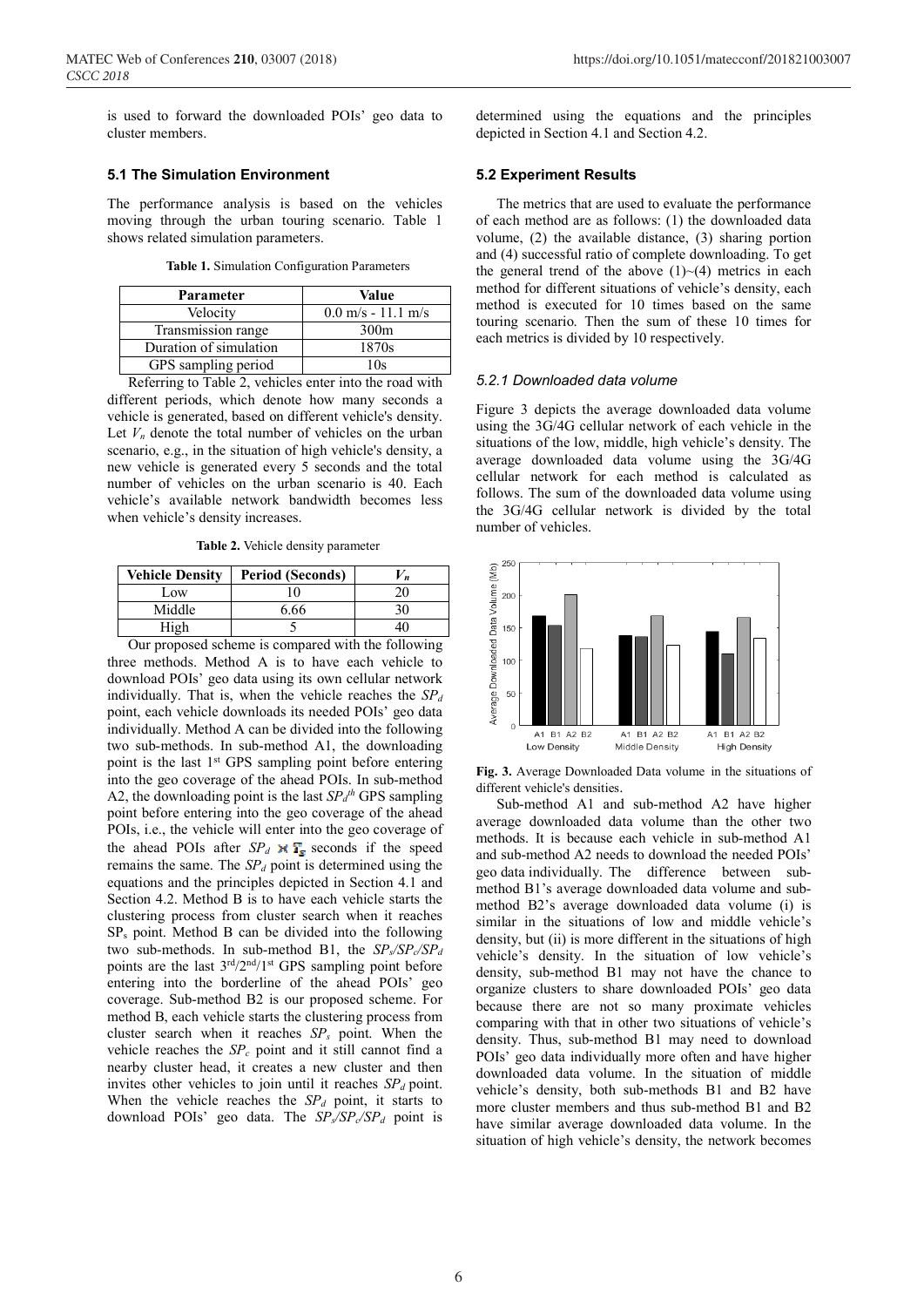is used to forward the downloaded POIs' geo data to cluster members.

#### **5.1 The Simulation Environment**

The performance analysis is based on the vehicles moving through the urban touring scenario. Table 1 shows related simulation parameters.

**Table 1.** Simulation Configuration Parameters

| Parameter              | Value                                |  |
|------------------------|--------------------------------------|--|
| Velocity               | $0.0 \text{ m/s} - 11.1 \text{ m/s}$ |  |
| Transmission range     | 300 <sub>m</sub>                     |  |
| Duration of simulation | 1870s                                |  |
| GPS sampling period    | 10s                                  |  |

Referring to Table 2, vehicles enter into the road with different periods, which denote how many seconds a vehicle is generated, based on different vehicle's density. Let  $V_n$  denote the total number of vehicles on the urban scenario, e.g., in the situation of high vehicle's density, a new vehicle is generated every 5 seconds and the total number of vehicles on the urban scenario is 40. Each vehicle's available network bandwidth becomes less when vehicle's density increases.

**Table 2.** Vehicle density parameter

| <b>Vehicle Density</b> | <b>Period (Seconds)</b> | 'n |
|------------------------|-------------------------|----|
| Low                    | $\Omega$                | 20 |
| Middle                 | 6.66                    | 30 |
| High                   |                         | 40 |

Our proposed scheme is compared with the following three methods. Method A is to have each vehicle to download POIs' geo data using its own cellular network individually. That is, when the vehicle reaches the  $SP<sub>d</sub>$ point, each vehicle downloads its needed POIs' geo data individually. Method A can be divided into the following two sub-methods. In sub-method A1, the downloading point is the last 1<sup>st</sup> GPS sampling point before entering into the geo coverage of the ahead POIs. In sub-method A2, the downloading point is the last  $SP_d$ <sup>th</sup> GPS sampling point before entering into the geo coverage of the ahead POIs, i.e., the vehicle will enter into the geo coverage of the ahead POIs after  $SP_d \times T_s$  seconds if the speed remains the same. The  $SP_d$  point is determined using the equations and the principles depicted in Section 4.1 and Section 4.2. Method B is to have each vehicle starts the clustering process from cluster search when it reaches SPs point. Method B can be divided into the following two sub-methods. In sub-method B1, the  $SP_s/SP_c/SP_d$ points are the last  $3<sup>rd</sup>/2<sup>nd</sup>/1<sup>st</sup> GPS$  sampling point before entering into the borderline of the ahead POIs' geo coverage. Sub-method B2 is our proposed scheme. For method B, each vehicle starts the clustering process from cluster search when it reaches  $SP<sub>s</sub>$  point. When the vehicle reaches the  $SP_c$  point and it still cannot find a nearby cluster head, it creates a new cluster and then invites other vehicles to join until it reaches  $SP_d$  point. When the vehicle reaches the  $SP_d$  point, it starts to download POIs' geo data. The  $SP_s/SP_c/SP_d$  point is

determined using the equations and the principles depicted in Section 4.1 and Section 4.2.

#### **5.2 Experiment Results**

The metrics that are used to evaluate the performance of each method are as follows: (1) the downloaded data volume, (2) the available distance, (3) sharing portion and (4) successful ratio of complete downloading. To get the general trend of the above  $(1)~(4)$  metrics in each method for different situations of vehicle's density, each method is executed for 10 times based on the same touring scenario. Then the sum of these 10 times for each metrics is divided by 10 respectively.

#### *5.2.1 Downloaded data volume*

Figure 3 depicts the average downloaded data volume using the 3G/4G cellular network of each vehicle in the situations of the low, middle, high vehicle's density. The average downloaded data volume using the 3G/4G cellular network for each method is calculated as follows. The sum of the downloaded data volume using the 3G/4G cellular network is divided by the total number of vehicles.



**Fig. 3.** Average Downloaded Data volume in the situations of different vehicle's densities.

Sub-method A1 and sub-method A2 have higher average downloaded data volume than the other two methods. It is because each vehicle in sub-method A1 and sub-method A2 needs to download the needed POIs' geo data individually. The difference between submethod B1's average downloaded data volume and submethod B2's average downloaded data volume (i) is similar in the situations of low and middle vehicle's density, but (ii) is more different in the situations of high vehicle's density. In the situation of low vehicle's density, sub-method B1 may not have the chance to organize clusters to share downloaded POIs' geo data because there are not so many proximate vehicles comparing with that in other two situations of vehicle's density. Thus, sub-method B1 may need to download POIs' geo data individually more often and have higher downloaded data volume. In the situation of middle vehicle's density, both sub-methods B1 and B2 have more cluster members and thus sub-method B1 and B2 have similar average downloaded data volume. In the situation of high vehicle's density, the network becomes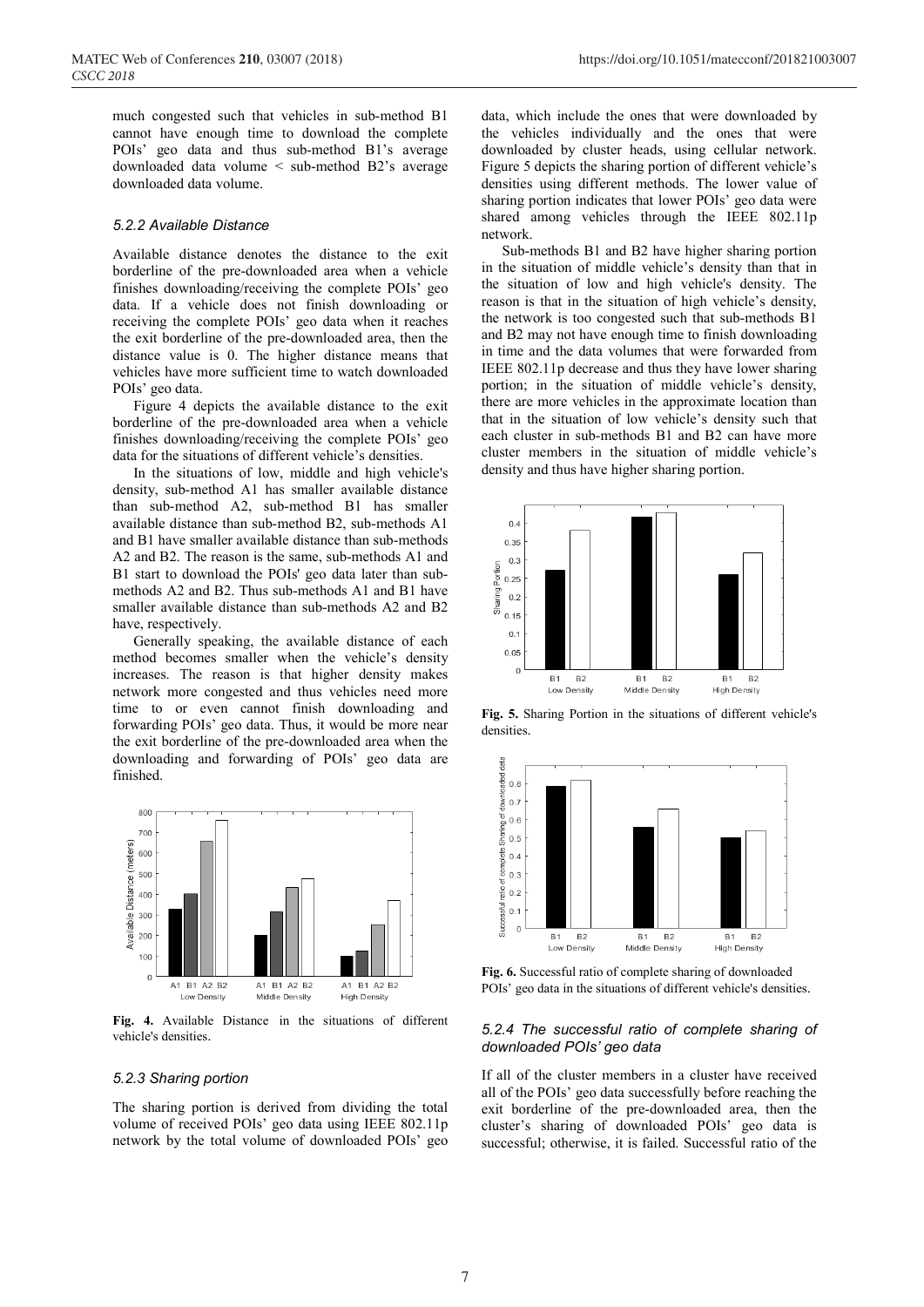much congested such that vehicles in sub-method B1 cannot have enough time to download the complete POIs' geo data and thus sub-method B1's average downloaded data volume < sub-method B2's average downloaded data volume.

#### *5.2.2 Available Distance*

Available distance denotes the distance to the exit borderline of the pre-downloaded area when a vehicle finishes downloading/receiving the complete POIs' geo data. If a vehicle does not finish downloading or receiving the complete POIs' geo data when it reaches the exit borderline of the pre-downloaded area, then the distance value is 0. The higher distance means that vehicles have more sufficient time to watch downloaded POIs' geo data.

Figure 4 depicts the available distance to the exit borderline of the pre-downloaded area when a vehicle finishes downloading/receiving the complete POIs' geo data for the situations of different vehicle's densities.

In the situations of low, middle and high vehicle's density, sub-method A1 has smaller available distance than sub-method A2, sub-method B1 has smaller available distance than sub-method B2, sub-methods A1 and B1 have smaller available distance than sub-methods A2 and B2. The reason is the same, sub-methods A1 and B1 start to download the POIs' geo data later than submethods A2 and B2. Thus sub-methods A1 and B1 have smaller available distance than sub-methods A2 and B2 have, respectively.

Generally speaking, the available distance of each method becomes smaller when the vehicle's density increases. The reason is that higher density makes network more congested and thus vehicles need more time to or even cannot finish downloading and forwarding POIs' geo data. Thus, it would be more near the exit borderline of the pre-downloaded area when the downloading and forwarding of POIs' geo data are finished.



**Fig. 4.** Available Distance in the situations of different vehicle's densities.

#### *5.2.3 Sharing portion*

The sharing portion is derived from dividing the total volume of received POIs' geo data using IEEE 802.11p network by the total volume of downloaded POIs' geo data, which include the ones that were downloaded by the vehicles individually and the ones that were downloaded by cluster heads, using cellular network. Figure 5 depicts the sharing portion of different vehicle's densities using different methods. The lower value of sharing portion indicates that lower POIs' geo data were shared among vehicles through the IEEE 802.11p network.

Sub-methods B1 and B2 have higher sharing portion in the situation of middle vehicle's density than that in the situation of low and high vehicle's density. The reason is that in the situation of high vehicle's density, the network is too congested such that sub-methods B1 and B2 may not have enough time to finish downloading in time and the data volumes that were forwarded from IEEE 802.11p decrease and thus they have lower sharing portion; in the situation of middle vehicle's density, there are more vehicles in the approximate location than that in the situation of low vehicle's density such that each cluster in sub-methods B1 and B2 can have more cluster members in the situation of middle vehicle's density and thus have higher sharing portion.



**Fig. 5.** Sharing Portion in the situations of different vehicle's densities.



**Fig. 6.** Successful ratio of complete sharing of downloaded POIs' geo data in the situations of different vehicle's densities.

#### *5.2.4 The successful ratio of complete sharing of downloaded POIs' geo data*

If all of the cluster members in a cluster have received all of the POIs' geo data successfully before reaching the exit borderline of the pre-downloaded area, then the cluster's sharing of downloaded POIs' geo data is successful; otherwise, it is failed. Successful ratio of the